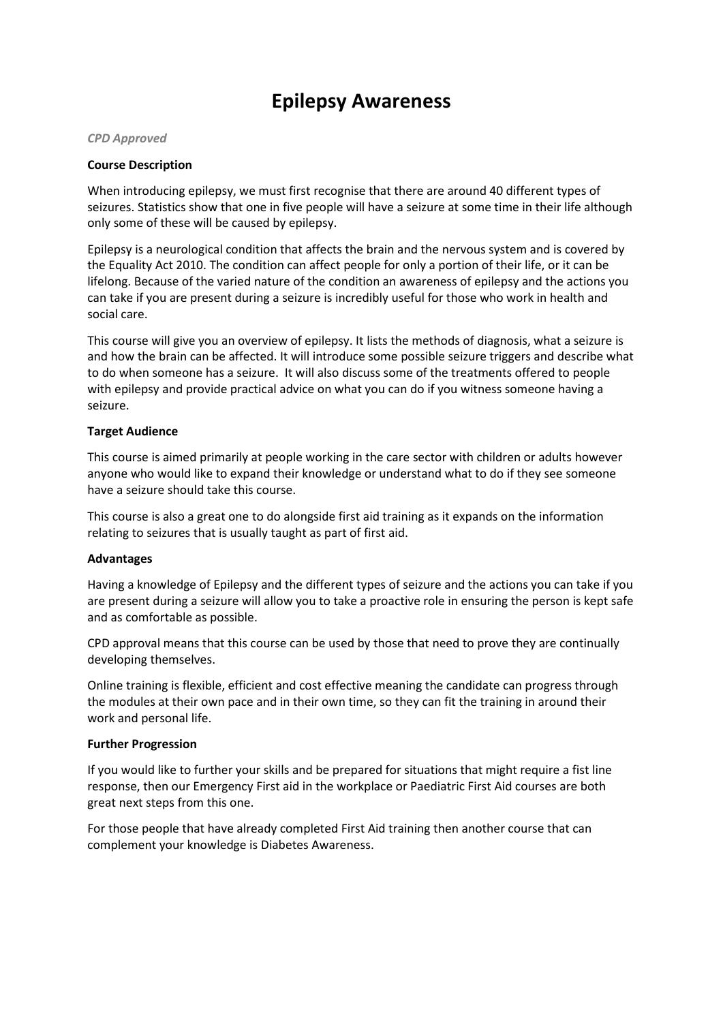# **Epilepsy Awareness**

#### *CPD Approved*

### **Course Description**

When introducing epilepsy, we must first recognise that there are around 40 different types of seizures. Statistics show that one in five people will have a seizure at some time in their life although only some of these will be caused by epilepsy.

Epilepsy is a neurological condition that affects the brain and the nervous system and is covered by the Equality Act 2010. The condition can affect people for only a portion of their life, or it can be lifelong. Because of the varied nature of the condition an awareness of epilepsy and the actions you can take if you are present during a seizure is incredibly useful for those who work in health and social care.

This course will give you an overview of epilepsy. It lists the methods of diagnosis, what a seizure is and how the brain can be affected. It will introduce some possible seizure triggers and describe what to do when someone has a seizure. It will also discuss some of the treatments offered to people with epilepsy and provide practical advice on what you can do if you witness someone having a seizure.

### **Target Audience**

This course is aimed primarily at people working in the care sector with children or adults however anyone who would like to expand their knowledge or understand what to do if they see someone have a seizure should take this course.

This course is also a great one to do alongside first aid training as it expands on the information relating to seizures that is usually taught as part of first aid.

## **Advantages**

Having a knowledge of Epilepsy and the different types of seizure and the actions you can take if you are present during a seizure will allow you to take a proactive role in ensuring the person is kept safe and as comfortable as possible.

CPD approval means that this course can be used by those that need to prove they are continually developing themselves.

Online training is flexible, efficient and cost effective meaning the candidate can progress through the modules at their own pace and in their own time, so they can fit the training in around their work and personal life.

#### **Further Progression**

If you would like to further your skills and be prepared for situations that might require a fist line response, then our Emergency First aid in the workplace or Paediatric First Aid courses are both great next steps from this one.

For those people that have already completed First Aid training then another course that can complement your knowledge is Diabetes Awareness.